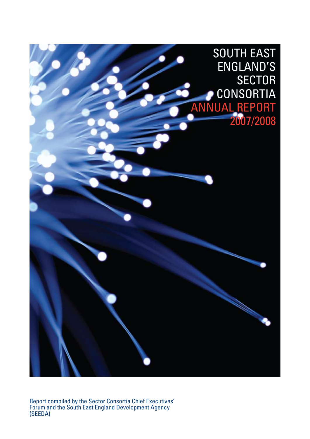

Report compiled by the Sector Consortia Chief Executives' Forum and the South East England Development Agency (SEEDA)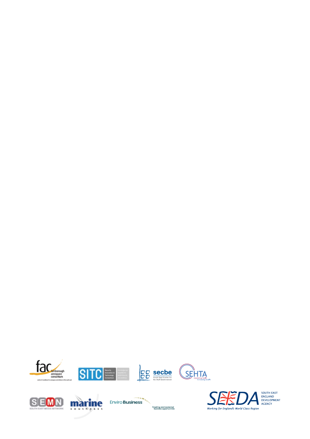











SOUTH EAST<br>ENGLAND<br>DEVELOPMENT<br>AGENCY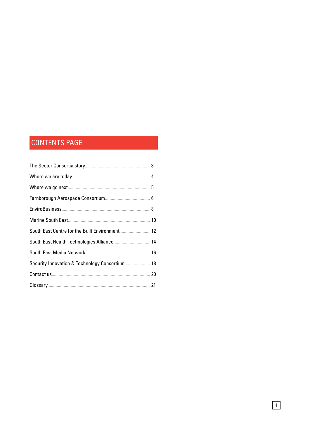# **CONTENTS PAGE**

| Security Innovation & Technology Consortium 18 |  |
|------------------------------------------------|--|
|                                                |  |
|                                                |  |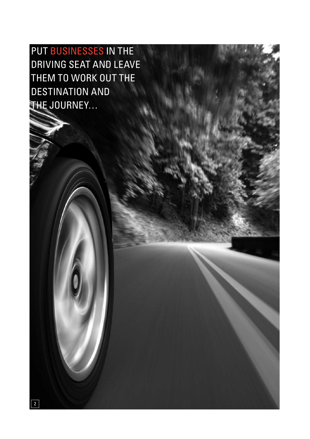put businesses in the driving seat and leave them to work out the destination and the journey…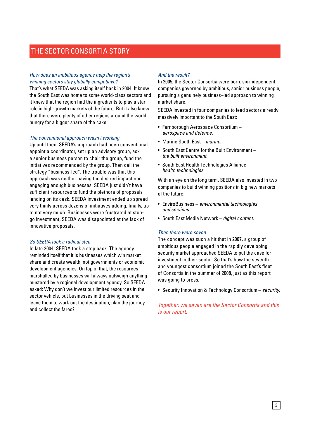## The Sector Consortia story

#### *How does an ambitious agency help the region's winning sectors stay globally competitive?*

That's what SEEDA was asking itself back in 2004. It knew the South East was home to some world-class sectors and it knew that the region had the ingredients to play a star role in high-growth markets of the future. But it also knew that there were plenty of other regions around the world hungry for a bigger share of the cake.

#### *The conventional approach wasn't working*

Up until then, SEEDA's approach had been conventional: appoint a coordinator, set up an advisory group, ask a senior business person to chair the group, fund the initiatives recommended by the group. Then call the strategy "business-led". The trouble was that this approach was neither having the desired impact nor engaging enough businesses. SEEDA just didn't have sufficient resources to fund the plethora of proposals landing on its desk. SEEDA investment ended up spread very thinly across dozens of initiatives adding, finally, up to not very much. Businesses were frustrated at stopgo investment; SEEDA was disappointed at the lack of innovative proposals.

#### *So SEEDA took a radical step*

In late 2004, SEEDA took a step back. The agency reminded itself that it is businesses which win market share and create wealth, not governments or economic development agencies. On top of that, the resources marshalled by businesses will always outweigh anything mustered by a regional development agency. So SEEDA asked: Why don't we invest our limited resources in the sector vehicle, put businesses in the driving seat and leave them to work out the destination, plan the journey and collect the fares?

#### *And the result?*

In 2005, the Sector Consortia were born: six independent companies governed by ambitious, senior business people, pursuing a genuinely business–led approach to winning market share.

SEEDA invested in four companies to lead sectors already massively important to the South East:

- Farnborough Aerospace Consortium *aerospace and defence.*
- • Marine South East – *marine.*
- South East Centre for the Built Environment *the built environment.*
- South East Health Technologies Alliance *health technologies.*

With an eye on the long term, SEEDA also invested in two companies to build winning positions in big new markets of the future:

- • EnviroBusiness *environmental technologies and services.*
- • South East Media Network *digital content.*

#### *Then there were seven*

The concept was such a hit that in 2007, a group of ambitious people engaged in the rapidly developing security market approached SEEDA to put the case for investment in their sector. So that's how the seventh and youngest consortium joined the South East's fleet of Consortia in the summer of 2008, just as this report was going to press.

• Security Innovation & Technology Consortium – *security.*

#### *Together, we seven are the Sector Consortia and this is our report.*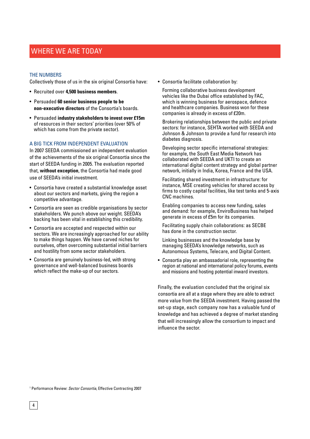## WHERE WE ARE TODAY

#### The numbers

Collectively those of us in the six original Consortia have:

- • Recruited over **4,500 business members**.
- • Persuaded **60 senior business people to be non-executive directors** of the Consortia's boards.
- • Persuaded **industry stakeholders to invest over £15m**  of resources in their sectors' priorities (over 50% of which has come from the private sector).

#### A big tick from independent evaluation

In 2007 SEEDA commissioned an independent evaluation of the achievements of the six original Consortia since the start of SEEDA funding in 2005. The evaluation reported that, **without exception**, the Consortia had made good use of SEEDA's initial investment.

- Consortia have created a substantial knowledge asset about our sectors and markets, giving the region a competitive advantage.
- Consortia are seen as credible organisations by sector stakeholders. We punch above our weight. SEEDA's backing has been vital in establishing this credibility.
- Consortia are accepted and respected within our sectors. We are increasingly approached for our ability to make things happen. We have carved niches for ourselves, often overcoming substantial initial barriers and hostility from some sector stakeholders.
- Consortia are genuinely business-led, with strong governance and well-balanced business boards which reflect the make-up of our sectors.

• Consortia facilitate collaboration by:

Forming collaborative business development vehicles like the Dubai office established by FAC, which is winning business for aerospace, defence and healthcare companies. Business won for these companies is already in excess of £20m.

Brokering relationships between the public and private sectors: for instance, SEHTA worked with SEEDA and Johnson & Johnson to provide a fund for research into diabetes diagnosis.

 Developing sector specific international strategies: for example, the South East Media Network has collaborated with SEEDA and UKTI to create an international digital content strategy and global partner network, initially in India, Korea, France and the USA.

Facilitating shared investment in infrastructure: for instance, MSE creating vehicles for shared access by firms to costly capital facilities, like test tanks and 5-axis CNC machines.

Enabling companies to access new funding, sales and demand: for example, EnviroBusiness has helped generate in excess of £5m for its companies.

Facilitating supply chain collaborations: as SECBE has done in the construction sector.

 Linking businesses and the knowledge base by managing SEEDA's knowledge networks, such as Autonomous Systems, Telecare, and Digital Content.

• Consortia play an ambassadorial role, representing the region at national and international policy forums, events and missions and hosting potential inward investors.

Finally, the evaluation concluded that the original six consortia are all at a stage where they are able to extract more value from the SEEDA investment. Having passed the set-up stage, each company now has a valuable fund of knowledge and has achieved a degree of market standing that will increasingly allow the consortium to impact and influence the sector.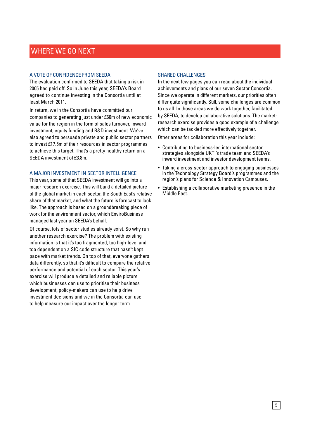# WHERE WE GO NEXT

#### A vote of confidence from SEEDA

The evaluation confirmed to SEEDA that taking a risk in 2005 had paid off. So in June this year, SEEDA's Board agreed to continue investing in the Consortia until at least March 2011.

In return, we in the Consortia have committed our companies to generating just under £60m of new economic value for the region in the form of sales turnover, inward investment, equity funding and R&D investment. We've also agreed to persuade private and public sector partners to invest £17.5m of their resources in sector programmes to achieve this target. That's a pretty healthy return on a SEEDA investment of £3.8m.

#### A major investment in sector intelligence

This year, some of that SEEDA investment will go into a major research exercise. This will build a detailed picture of the global market in each sector, the South East's relative share of that market, and what the future is forecast to look like. The approach is based on a groundbreaking piece of work for the environment sector, which EnviroBusiness managed last year on SEEDA's behalf.

Of course, lots of sector studies already exist. So why run another research exercise? The problem with existing information is that it's too fragmented, too high-level and too dependent on a SIC code structure that hasn't kept pace with market trends. On top of that, everyone gathers data differently, so that it's difficult to compare the relative performance and potential of each sector. This year's exercise will produce a detailed and reliable picture which businesses can use to prioritise their business development, policy-makers can use to help drive investment decisions and we in the Consortia can use to help measure our impact over the longer term.

#### Shared challenges

In the next few pages you can read about the individual achievements and plans of our seven Sector Consortia. Since we operate in different markets, our priorities often differ quite significantly. Still, some challenges are common to us all. In those areas we do work together, facilitated by SEEDA, to develop collaborative solutions. The marketresearch exercise provides a good example of a challenge which can be tackled more effectively together.

Other areas for collaboration this year include:

- Contributing to business-led international sector strategies alongside UKTI's trade team and SEEDA's inward investment and investor development teams.
- Taking a cross-sector approach to engaging businesses in the Technology Strategy Board's programmes and the region's plans for Science & Innovation Campuses.
- Establishing a collaborative marketing presence in the Middle East.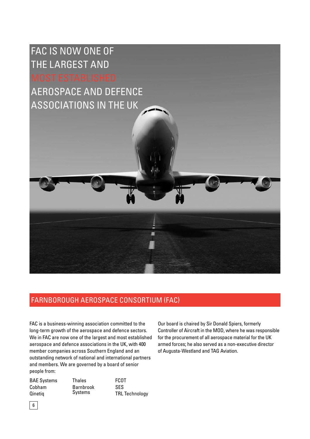FAC is now one of the largest and

aerospace and defence associations in the UK



FAC is a business-winning association committed to the long-term growth of the aerospace and defence sectors. We in FAC are now one of the largest and most established aerospace and defence associations in the UK, with 400 member companies across Southern England and an outstanding network of national and international partners and members. We are governed by a board of senior people from:

BAE Systems Cobham Qinetiq Thales Barnbrook Systems FCOT SES TRL Technology

Our board is chaired by Sir Donald Spiers, formerly Controller of Aircraft in the MOD, where he was responsible for the procurement of all aerospace material for the UK armed forces; he also served as a non-executive director of Augusta-Westland and TAG Aviation.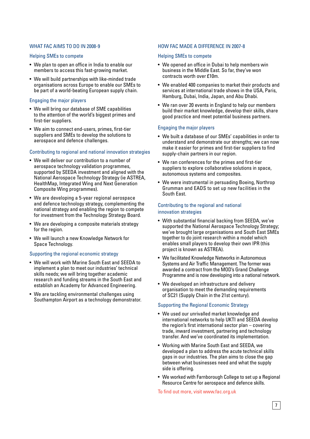#### WHAT FAC AIMS TO DO IN 2008-9

#### Helping SMEs to compete

- We plan to open an office in India to enable our members to access this fast-growing market.
- We will build partnerships with like-minded trade organisations across Europe to enable our SMEs to be part of a world-beating European supply chain.

#### Engaging the major players

- We will bring our database of SME capabilities to the attention of the world's biggest primes and first-tier suppliers.
- We aim to connect end-users, primes, first-tier suppliers and SMEs to develop the solutions to aerospace and defence challenges.

#### Contributing to regional and national innovation strategies

- We will deliver our contribution to a number of aerospace technology validation programmes, supported by SEEDA investment and aligned with the National Aerospace Technology Strategy (ie ASTREA, HealthMap, Integrated Wing and Next Generation Composite Wing programmes).
- We are developing a 5-year regional aerospace and defence technology strategy, complementing the national strategy and enabling the region to compete for investment from the Technology Strategy Board.
- We are developing a composite materials strategy for the region.
- We will launch a new Knowledge Network for Space Technology.

#### Supporting the regional economic strategy

- We will work with Marine South East and SEEDA to implement a plan to meet our industries' technical skills needs; we will bring together academic research and funding streams in the South East and establish an Academy for Advanced Engineering.
- We are tackling environmental challenges using Southampton Airport as a technology demonstrator.

#### How FAC made a difference in 2007-8

#### Helping SMEs to compete

- We opened an office in Dubai to help members win business in the Middle East. So far, they've won contracts worth over £10m.
- We enabled 400 companies to market their products and services at international trade shows in the USA, Paris, Hamburg, Dubai, India, Japan, and Abu Dhabi.
- We ran over 20 events in England to help our members build their market knowledge, develop their skills, share good practice and meet potential business partners.

#### Engaging the major players

- We built a database of our SMEs' capabilities in order to understand and demonstrate our strengths; we can now make it easier for primes and first-tier suppliers to find supply-chain partners in our region.
- We ran conferences for the primes and first-tier suppliers to explore collaborative solutions in space, autonomous systems and composites.
- We were instrumental in persuading Boeing, Northrop Grumman and EADS to set up new facilities in the South East.

#### Contributing to the regional and national innovation strategies

- With substantial financial backing from SEEDA, we've supported the National Aerospace Technology Strategy; we've brought large organisations and South East SMEs together to do joint research within a model which enables small players to develop their own IPR (this project is known as ASTREA).
- We facilitated Knowledge Networks in Autonomous Systems and Air Traffic Management. The former was awarded a contract from the MOD's Grand Challenge Programme and is now developing into a national network.
- We developed an infrastructure and delivery organisation to meet the demanding requirements of SC21 (Supply Chain in the 21st century).

#### Supporting the Regional Economic Strategy

- We used our unrivalled market knowledge and international networks to help UKTI and SEEDA develop the region's first international sector plan – covering trade, inward investment, partnering and technology transfer. And we've coordinated its implementation.
- Working with Marine South East and SEEDA, we developed a plan to address the acute technical skills gaps in our industries. The plan aims to close the gap between what businesses need and what the supply side is offering.
- We worked with Farnborough College to set up a Regional Resource Centre for aerospace and defence skills.

To find out more, visit www.fac.org.uk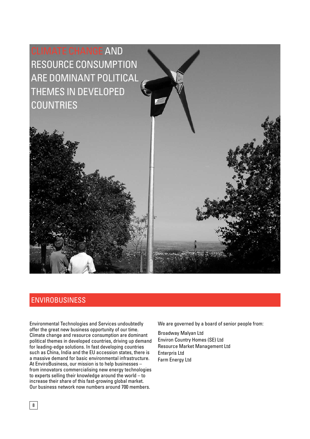

# **ENVIROBUSINESS**

Environmental Technologies and Services undoubtedly offer the great new business opportunity of our time. Climate change and resource consumption are dominant political themes in developed countries, driving up demand for leading-edge solutions. In fast developing countries such as China, India and the EU accession states, there is a massive demand for basic environmental infrastructure. At EnviroBusiness, our mission is to help businesses – from innovators commercialising new energy technologies to experts selling their knowledge around the world – to increase their share of this fast-growing global market. Our business network now numbers around 700 members.

We are governed by a board of senior people from:

Broadway Malyan Ltd Environ Country Homes (SE) Ltd Resource Market Management Ltd Enterpris Ltd Farm Energy Ltd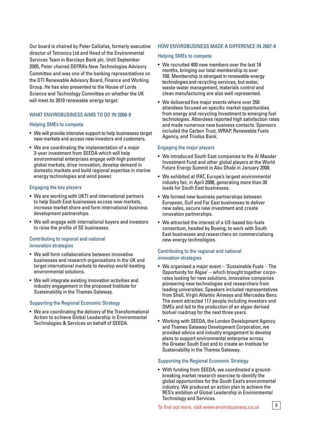Our board is chaired by Peter Calliafas, formerly executive director of Tetronics Ltd and Head of the Environmental Services Team in Barclays Bank plc. Until September 2005, Peter chaired DEFRA's New Technologies Advisory Committee and was one of the banking representatives on the DTI Renewable Advisory Board, Finance and Working Group. He has also presented to the House of Lords Science and Technology Committee on whether the UK will meet its 2010 renewable energy target.

#### WHAT ENVIROBUSINESS AIMS TO DO IN 2008-9

#### Helping SMEs to compete

- We will provide intensive support to help businesses target new markets and access new investors and customers.
- We are coordinating the implementation of a major 3-year investment from SEEDA which will help environmental enterprises engage with high potential global markets, drive innovation, develop demand in domestic markets and build regional expertise in marine energy technologies and wind power.

#### Engaging the key players

- We are working with UKTI and international partners to help South East businesses access new markets, increase market share and form international business development partnerships.
- We will engage with international buyers and investors to raise the profile of SE businesses.

#### Contributing to regional and national innovation strategies

- We will form collaborations between innovative businesses and research organisations in the UK and target international markets to develop world-beating environmental solutions.
- We will integrate existing innovation activities and industry engagement in the proposed Institute for Sustainability in the Thames Gateway.

#### Supporting the Regional Economic Strategy

• We are coordinating the delivery of the Transformational Action to achieve Global Leadership in Environmental Technologies & Services on behalf of SEEDA.

#### How EnviroBusiness made a difference in 2007-8

#### Helping SMEs to compete

- We recruited 400 new members over the last 18 months, bringing our total membership to over 700. Membership is strongest in renewable-energy technologies and recycling services, but water, waste-water management, materials control and clean manufacturing are also well represented.
- We delivered five major events where over 350 attendees focused on specific market opportunities from energy and recycling Investment to emerging fuel technologies. Attendees reported high satisfaction rates and made numerous new business contacts. Sponsors included the Carbon Trust, WRAP, Renewable Fuels Agency, and Triodos Bank.

#### Engaging the major players

- We introduced South East companies to the Al Masdar Investment Fund and other global players at the World Future Energy Summit in Abu Dhabi in January 2008.
- We exhibited at IFAT, Europe's largest environmental industry fair, in April 2008, generating more than 30 leads for South East businesses.
- We formed new business partnerships between European, Gulf and Far East businesses to deliver new sales, secure new investment and create innovation partnerships.
- We attracted the interest of a US-based bio-fuels consortium, headed by Boeing, to work with South East businesses and researchers on commercialising new energy technologies.

#### Contributing to the regional and national innovation strategies

- We organised a major event 'Sustainable Fuels The Opportunity for Algae' – which brought together corporates looking for new solutions, innovative companies pioneering new technologies and researchers from leading universities. Speakers included representatives from Shell, Virgin Atlantic Airways and Mercedes Benz. The event attracted 117 people including investors and SMEs and led to the production of an algae-derived biofuel roadmap for the next three years.
- Working with SEEDA, the London Development Agency and Thames Gateway Development Corporation, we provided advice and industry engagement to develop plans to support environmental enterprise across the Greater South East and to create an Institute for Sustainability in the Thames Gateway.

#### Supporting the Regional Economic Strategy

• With funding from SEEDA, we coordinated a groundbreaking market research exercise to identify the global opportunities for the South East's environmental industry. We produced an action plan to achieve the RES's ambition of Global Leadership in Environmental Technology and Services.

To find out more, visit www.envirobusiness.co.uk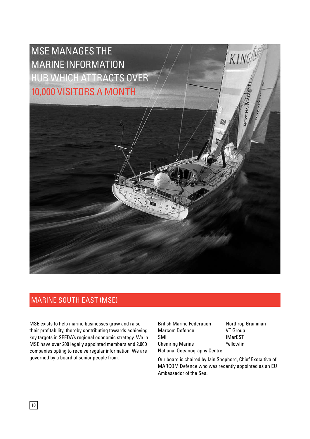

# Marine South East (MSE)

MSE exists to help marine businesses grow and raise their profitability, thereby contributing towards achieving key targets in SEEDA's regional economic strategy. We in MSE have over 200 legally appointed members and 2,000 companies opting to receive regular information. We are governed by a board of senior people from: Our board is chaired by Iain Shepherd, Chief Executive of

British Marine Federation Marcom Defence SMI Chemring Marine National Oceanography Centre

Northrop Grumman VT Group IMarEST Yellowfin

MARCOM Defence who was recently appointed as an EU Ambassador of the Sea.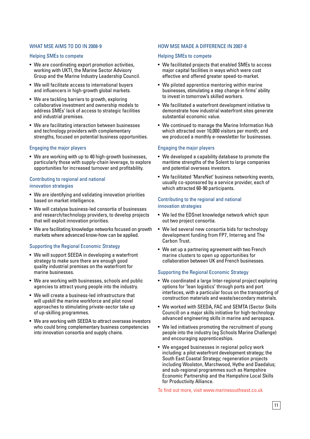#### WHAT MSE AIMS TO DO IN 2008-9

#### Helping SMEs to compete

- We are coordinating export promotion activities, working with UKTI, the Marine Sector Advisory Group and the Marine Industry Leadership Council.
- We will facilitate access to international buyers and influencers in high-growth global markets.
- We are tackling barriers to growth, exploring collaborative investment and ownership models to address SMEs' lack of access to strategic facilities and industrial premises.
- We are facilitating interaction between businesses and technology providers with complementary strengths, focused on potential business opportunities.

#### Engaging the major players

• We are working with up to 40 high-growth businesses, particularly those with supply-chain leverage, to explore opportunities for increased turnover and profitability.

#### Contributing to regional and national innovation strategies

- We are identifying and validating innovation priorities based on market intelligence.
- We will catalyse business-led consortia of businesses and research/technology providers, to develop projects that will exploit innovation priorities.
- We are facilitating knowledge networks focused on growth markets where advanced know-how can be applied.

#### Supporting the Regional Economic Strategy

- We will support SEEDA in developing a waterfront strategy to make sure there are enough good quality industrial premises on the waterfront for marine businesses.
- We are working with businesses, schools and public agencies to attract young people into the industry.
- We will create a business-led infrastructure that will upskill the marine workforce and pilot novel approaches to stimulating private-sector take up of up-skilling programmes.
- We are working with SEEDA to attract overseas investors who could bring complementary business competencies into innovation consortia and supply chains.

#### How MSE made a difference in 2007-8

#### Helping SMEs to compete

- We facilitated projects that enabled SMEs to access major capital facilities in ways which were cost effective and offered greater speed-to-market.
- We piloted apprentice mentoring within marine businesses, stimulating a step change in firms' ability to invest in tomorrow's skilled workers.
- We facilitated a waterfront development initiative to demonstrate how industrial waterfront sites generate substantial economic value.
- We continued to manage the Marine Information Hub which attracted over 10,000 visitors per month; and we produced a monthly e-newsletter for businesses.

#### Engaging the major players

- We developed a capability database to promote the maritime strengths of the Solent to large companies and potential overseas investors.
- We facilitated 'MareNet' business networking events, usually co-sponsored by a service provider, each of which attracted 60-90 participants.

#### Contributing to the regional and national innovation strategies

- We led the EDSnet knowledge network which spun out two project consortia.
- We led several new consortia bids for technology development funding from FP7, Interreg and The Carbon Trust.
- We set up a partnering agreement with two French marine clusters to open up opportunities for collaboration between UK and French businesses.

#### Supporting the Regional Economic Strategy

- We coordinated a large Inter-regional project exploring options for 'lean logistics' through ports and port interfaces, with a particular focus on the transporting of construction materials and waste/secondary materials.
- We worked with SEEDA, FAC and SEMTA (Sector Skills Council) on a major skills initiative for high-technology advanced engineering skills in marine and aerospace.
- We led initiatives promoting the recruitment of young people into the industry (eg Schools Marine Challenge) and encouraging apprenticeships.
- We engaged businesses in regional policy work including: a pilot waterfront development strategy; the South East Coastal Strategy; regeneration projects including Woolston, Marchwood, Hythe and Daedalus; and sub-regional programmes such as Hampshire Economic Partnership and the Hampshire Local Skills for Productivity Alliance.

To find out more, visit www.marinesoutheast.co.uk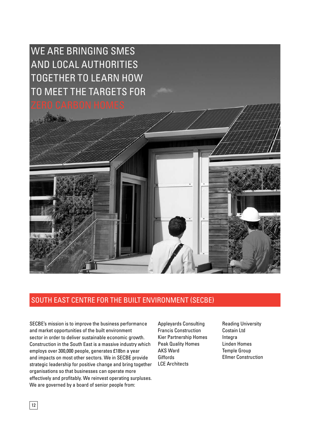# we are Bringing SMEs and local authorities together to learn how to meet the targets for



# South East Centre for the Built Environment (SECBE)

SECBE's mission is to improve the business performance and market opportunities of the built environment sector in order to deliver sustainable economic growth. Construction in the South East is a massive industry which employs over 300,000 people, generates £18bn a year and impacts on most other sectors. We in SECBE provide strategic leadership for positive change and bring together organisations so that businesses can operate more effectively and profitably. We reinvest operating surpluses. We are governed by a board of senior people from:

Appleyards Consulting Francis Construction Kier Partnership Homes Peak Quality Homes AKS Ward Giffords LCE Architects

Reading University Costain Ltd Integra Linden Homes Temple Group Ellmer Construction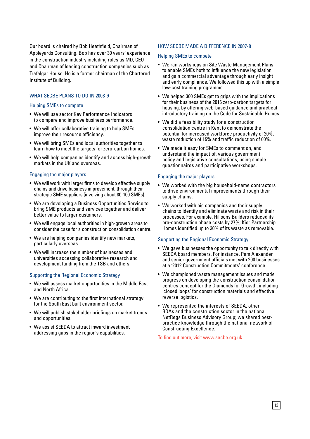Our board is chaired by Bob Heathfield, Chairman of Appleyards Consulting. Bob has over 30 years' experience in the construction industry including roles as MD, CEO and Chairman of leading construction companies such as Trafalgar House. He is a former chairman of the Chartered Institute of Building.

#### WHAT SECBE PLANS TO DO IN 2008-9

#### Helping SMEs to compete

- We will use sector Key Performance Indicators to compare and improve business performance.
- We will offer collaborative training to help SMEs improve their resource efficiency.
- We will bring SMEs and local authorities together to learn how to meet the targets for zero-carbon homes.
- We will help companies identify and access high-growth markets in the UK and overseas.

#### Engaging the major players

- We will work with larger firms to develop effective supply chains and drive business improvement, through their strategic SME suppliers (involving about 80-100 SMEs).
- We are developing a Business Opportunities Service to bring SME products and services together and deliver better value to larger customers.
- We will engage local authorities in high-growth areas to consider the case for a construction consolidation centre.
- We are helping companies identify new markets, particularly overseas.
- We will increase the number of businesses and universities accessing collaborative research and development funding from the TSB and others.

#### Supporting the Regional Economic Strategy

- We will assess market opportunities in the Middle East and North Africa.
- We are contributing to the first international strategy for the South East built environment sector.
- We will publish stakeholder briefings on market trends and opportunities.
- We assist SEEDA to attract inward investment addressing gaps in the region's capabilities.

#### How SECBE made a difference in 2007-8

#### Helping SMEs to compete

- We ran workshops on Site Waste Management Plans to enable SMEs both to influence the new legislation and gain commercial advantage through early insight and early compliance. We followed this up with a simple low-cost training programme.
- We helped 300 SMEs get to grips with the implications for their business of the 2016 zero-carbon targets for housing, by offering web-based guidance and practical introductory training on the Code for Sustainable Homes.
- We did a feasibility study for a construction consolidation centre in Kent to demonstrate the potential for increased workforce productivity of 20%, waste reduction of 15% and traffic reduction of 60%.
- • We made it easy for SMEs to comment on, and understand the impact of, various government policy and legislative consultations, using simple questionnaires and participative workshops.

#### Engaging the major players

- We worked with the big household-name contractors to drive environmental improvements through their supply chains.
- We worked with big companies and their supply chains to identify and eliminate waste and risk in their processes. For example, Hillsons Builders reduced its pre-construction phase costs by 27%; Kier Partnership Homes identified up to 30% of its waste as removable.

#### Supporting the Regional Economic Strategy

- We gave businesses the opportunity to talk directly with SEEDA board members. For instance, Pam Alexander and senior government officials met with 200 businesses at a '2012 Construction Commitments' conference.
- We championed waste management issues and made progress on developing the construction consolidation centres concept for the Diamonds for Growth, including 'closed loops' for construction materials and effective reverse logistics.
- We represented the interests of SEEDA, other RDAs and the construction sector in the national NetRegs Business Advisory Group; we shared bestpractice knowledge through the national network of Constructing Excellence.

To find out more, visit www.secbe.org.uk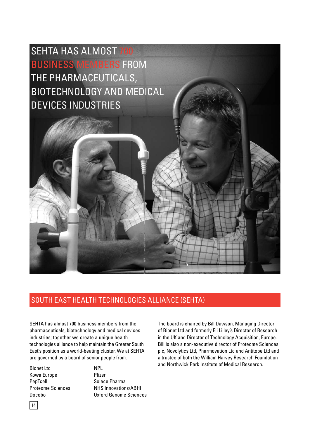# SEHTA has almost 700 business members from the pharmaceuticals, biotechnology and medical devices industries

# South East Health Technologies Alliance (SEHTA)

SEHTA has almost 700 business members from the pharmaceuticals, biotechnology and medical devices industries; together we create a unique health technologies alliance to help maintain the Greater South East's position as a world-beating cluster. We at SEHTA are governed by a board of senior people from:

Bionet Ltd Kowa Europe PepTcell Proteome Sciences Docobo

NPL Pfizer Solace Pharma NHS Innovations/ABHI Oxford Genome Sciences The board is chaired by Bill Dawson, Managing Director of Bionet Ltd and formerly Eli Lilley's Director of Research in the UK and Director of Technology Acquisition, Europe. Bill is also a non-executive director of Proteome Sciences plc, Novolytics Ltd, Pharmovation Ltd and Antitope Ltd and a trustee of both the William Harvey Research Foundation and Northwick Park Institute of Medical Research.

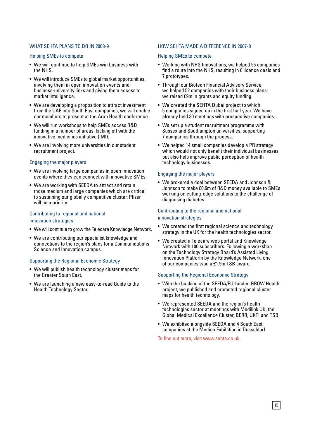#### WHAT SEHTA PLANS TO DO IN 2008-9

#### Helping SMEs to compete

- We will continue to help SMEs win business with the NHS.
- We will introduce SMEs to global market opportunities, involving them in open innovation events and business-university links and giving them access to market intelligence.
- We are developing a proposition to attract investment from the UAE into South East companies; we will enable our members to present at the Arab Health conference.
- We will run workshops to help SMEs access R&D funding in a number of areas, kicking off with the innovative medicines initiative (IMI).
- We are involving more universities in our student recruitment project.

#### Engaging the major players

- We are involving large companies in open Innovation events where they can connect with innovative SMEs.
- We are working with SEEDA to attract and retain those medium and large companies which are critical to sustaining our globally competitive cluster. Pfizer will be a priority.

#### Contributing to regional and national innovation strategies

- We will continue to grow the Telecare Knowledge Network.
- We are contributing our specialist knowledge and connections to the region's plans for a Communications Science and Innovation campus.

#### Supporting the Regional Economic Strategy

- • We will publish health technology cluster maps for the Greater South East.
- We are launching a new easy-to-read Guide to the Health Technology Sector.

#### How SEHTA made a difference in 2007-8

#### Helping SMEs to compete

- • Working with NHS Innovations, we helped 55 companies find a route into the NHS, resulting in 6 licence deals and 7 prototypes.
- Through our Biotech Financial Advisory Service. we helped 52 companies with their business plans; we raised £9m in grants and equity funding.
- We created the SEHTA Dubai project to which 5 companies signed up in the first half year. We have already held 30 meetings with prospective companies.
- We set up a student recruitment programme with Sussex and Southampton universities, supporting 7 companies through the process.
- We helped 14 small companies develop a PR strategy which would not only benefit their individual businesses but also help improve public perception of health technology businesses.

#### Engaging the major players

• We brokered a deal between SEEDA and Johnson & Johnson to make £0.5m of R&D money available to SMEs working on cutting-edge solutions to the challenge of diagnosing diabetes.

# Contributing to the regional and national

#### innovation strategies

- We created the first regional science and technology strategy in the UK for the health technologies sector.
- We created a Telecare web portal and Knowledge Network with 100 subscribers. Following a workshop on the Technology Strategy Board's Assisted Living Innovation Platform by the Knowledge Network, one of our companies won a £1.9m TSB award.

#### Supporting the Regional Economic Strategy

- With the backing of the SEEDA/EU-funded GROW Health project, we published and promoted regional cluster maps for health technology.
- We represented SEEDA and the region's health technologies sector at meetings with Medilink UK, the Global Medical Excellence Cluster, BERR, UKTI and TSB.
- We exhibited alongside SEEDA and 4 South East companies at the Medica Exhibition in Dusseldorf.

To find out more, visit www.sehta.co.uk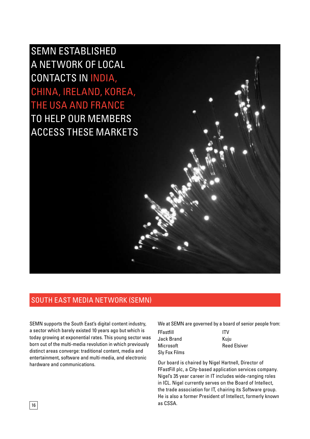SEMN established a network of local contacts in India, China, Ireland, Korea, the USA and France to help our members access these markets

### south east media network (semn)

SEMN supports the South East's digital content industry, a sector which barely existed 10 years ago but which is today growing at exponential rates. This young sector was born out of the multi-media revolution in which previously distinct areas converge: traditional content, media and entertainment, software and multi-media, and electronic hardware and communications.

We at SEMN are governed by a board of senior people from:

| FFastfill     | <b>ITV</b>          |
|---------------|---------------------|
| Jack Brand    | Kuiu                |
| Microsoft     | <b>Reed Elsiver</b> |
| Sly Fox Films |                     |

Our board is chaired by Nigel Hartnell, Director of FFastFill plc, a City-based application services company. Nigel's 35 year career in IT includes wide-ranging roles in ICL. Nigel currently serves on the Board of Intellect, the trade association for IT, chairing its Software group. He is also a former President of Intellect, formerly known as CSSA.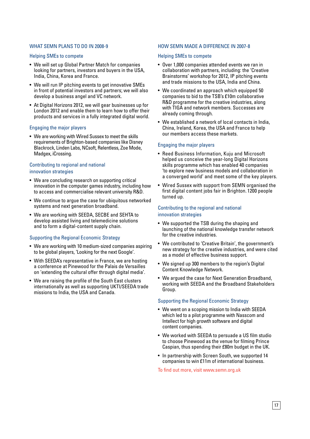#### WHAT SEMN PLANS TO DO IN 2008-9

#### Helping SMEs to compete

- We will set up Global Partner Match for companies looking for partners, investors and buyers in the USA, India, China, Korea and France.
- We will run IP pitching events to get innovative SMEs in front of potential investors and partners; we will also develop a business angel and VC network.
- At Digital Horizons 2012, we will gear businesses up for London 2012 and enable them to learn how to offer their products and services in a fully integrated digital world.

#### Engaging the major players

• We are working with Wired Sussex to meet the skills requirements of Brighton-based companies like Disney Blackrock, Linden Labs, NCsoft, Relentless, Zoe Mode, Madgex, iCrossing.

#### Contributing to regional and national innovation strategies

- We are concluding research on supporting critical innovation in the computer games industry, including how to access and commercialise relevant university R&D.
- We continue to argue the case for ubiquitous networked systems and next generation broadband.
- We are working with SEEDA, SECBE and SEHTA to develop assisted living and telemedicine solutions and to form a digital-content supply chain.

#### Supporting the Regional Economic Strategy

- We are working with 10 medium-sized companies aspiring to be global players, 'Looking for the next Google'.
- With SEEDA's representative in France, we are hosting a conference at Pinewood for the Palais de Versailles on 'extending the cultural offer through digital media'.
- We are raising the profile of the South East clusters internationally as well as supporting UKTI/SEEDA trade missions to India, the USA and Canada.

#### How SEMN made a difference in 2007-8

#### Helping SMEs to compete

- Over 1,000 companies attended events we ran in collaboration with partners, including: the 'Creative Brainstorms' workshop for 2012, IP pitching events and trade missions to the USA, India and China.
- We coordinated an approach which equipped 50 companies to bid to the TSB's £10m collaborative R&D programme for the creative industries, along with TIGA and network members. Successes are already coming through.
- We established a network of local contacts in India, China, Ireland, Korea, the USA and France to help our members access these markets.

#### Engaging the major players

- Reed Business Information, Kuju and Microsoft helped us conceive the year-long Digital Horizons skills programme which has enabled 40 companies 'to explore new business models and collaboration in a converged world' and meet some of the key players.
- Wired Sussex with support from SEMN organised the first digital content jobs fair in Brighton. 1200 people turned up.

#### Contributing to the regional and national innovation strategies

- We supported the TSB during the shaping and launching of the national knowledge transfer network for the creative industries.
- We contributed to 'Creative Britain', the government's new strategy for the creative industries, and were cited as a model of effective business support.
- We signed up 300 members to the region's Digital Content Knowledge Network.
- We arqued the case for Next Generation Broadband, working with SEEDA and the Broadband Stakeholders Group.

#### Supporting the Regional Economic Strategy

- We went on a scoping mission to India with SEEDA which led to a pilot programme with Nasscom and Intellect for high growth software and digital content companies.
- We worked with SEEDA to persuade a US film studio to choose Pinewood as the venue for filming Prince Caspian, thus spending their £80m budget in the UK.
- In partnership with Screen South, we supported 14 companies to win £11m of international business.

To find out more, visit www.semn.org.uk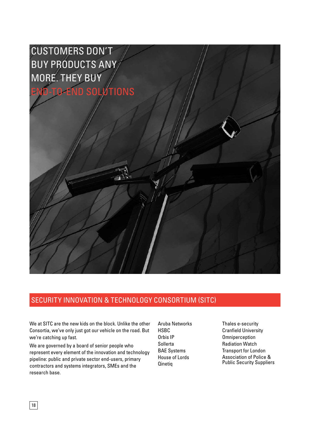# customers don't buy products any more. they buy end-to-end solutions

## Security Innovation & Technology Consortium (SITC)

We at SITC are the new kids on the block. Unlike the other Consortia, we've only just got our vehicle on the road. But we're catching up fast.

We are governed by a board of senior people who represent every element of the innovation and technology pipeline: public and private sector end-users, primary contractors and systems integrators, SMEs and the research base.

Aruba Networks **HSBC** Orbis IP Sollerta BAE Systems House of Lords Qinetiq

Thales e-security Cranfield University **Omniperception** Radiation Watch Transport for London Association of Police & Public Security Suppliers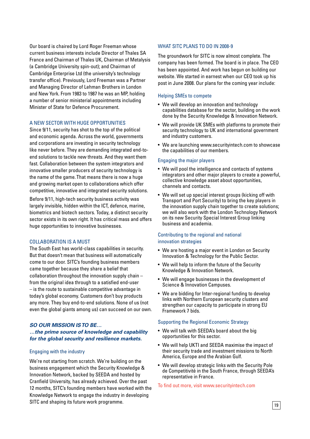Our board is chaired by Lord Roger Freeman whose current business interests include Director of Thales SA France and Chairman of Thales UK, Chairman of Metalysis (a Cambridge University spin-out); and Chairman of Cambridge Enterprise Ltd (the university's technology transfer office). Previously, Lord Freeman was a Partner and Managing Director of Lehman Brothers in London and New York. From 1983 to 1987 he was an MP, holding a number of senior ministerial appointments including Minister of State for Defence Procurement.

#### A new sector with huge opportunities

Since 9/11, security has shot to the top of the political and economic agenda. Across the world, governments and corporations are investing in security technology like never before. They are demanding integrated end-toend solutions to tackle new threats. And they want them fast. Collaboration between the system integrators and innovative smaller producers of security technology is the name of the game. That means there is now a huge and growing market open to collaborations which offer competitive, innovative and integrated security solutions.

Before 9/11, high-tech security business activity was largely invisible, hidden within the ICT, defence, marine, biometrics and biotech sectors. Today, a distinct security sector exists in its own right. It has critical mass and offers huge opportunities to innovative businesses.

#### Collaboration is a must

The South East has world-class capabilities in security. But that doesn't mean that business will automatically come to our door. SITC's founding business members came together because they share a belief that collaboration throughout the innovation supply chain – from the original idea through to a satisfied end-user – is the route to sustainable competitive advantage in today's global economy. Customers don't buy products any more. They buy end-to-end solutions. None of us (not even the global giants among us) can succeed on our own.

#### *So our mission is to be… …the prime source of knowledge and capability for the global security and resilience markets.*

#### Engaging with the industry

We're not starting from scratch. We're building on the business engagement which the Security Knowledge & Innovation Network, backed by SEEDA and hosted by Cranfield University, has already achieved. Over the past 12 months, SITC's founding members have worked with the Knowledge Network to engage the industry in developing SITC and shaping its future work programme.

#### WHAT SITC PLANS TO DO IN 2008-9

The groundwork for SITC is now almost complete. The company has been formed. The board is in place. The CEO has been appointed. And work has begun on building our website. We started in earnest when our CEO took up his post in June 2008. Our plans for the coming year include:

#### Helping SMEs to compete

- We will develop an innovation and technology capabilities database for the sector, building on the work done by the Security Knowledge & Innovation Network.
- We will provide UK SMEs with platforms to promote their security technology to UK and international government and industry customers.
- We are launching www.securityintech.com to showcase the capabilities of our members.

#### Engaging the major players

- We will pool the intelligence and contacts of systems integrators and other major players to create a powerful, collective knowledge asset about opportunities, channels and contacts.
- We will set up special interest groups (kicking off with Transport and Port Security) to bring the key players in the innovation supply chain together to create solutions; we will also work with the London Technology Network on its new Security Special Interest Group linking business and academia.

#### Contributing to the regional and national innovation strategies

- We are hosting a major event in London on Security Innovation & Technology for the Public Sector.
- We will help to inform the future of the Security Knowledge & Innovation Network.
- We will engage businesses in the development of Science & Innovation Campuses.
- We are bidding for Inter-regional funding to develop links with Northern European security clusters and strengthen our capacity to participate in strong EU Framework 7 bids.

#### Supporting the Regional Economic Strategy

- We will talk with SEEDA's board about the big opportunities for this sector.
- We will help UKTI and SEEDA maximise the impact of their security trade and investment missions to North America, Europe and the Arabian Gulf.
- • We will develop strategic links with the Security Pole de Competitivité in the South France, through SEEDA's representative in France.

#### To find out more, visit www.securityintech.com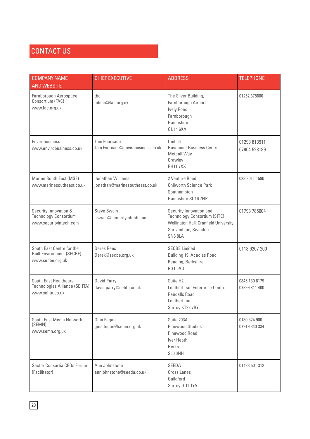# CONTACT US

| <b>COMPANY NAME</b><br><b>AND WEBSITE</b>                                         | <b>CHIEF EXECUTIVE</b>                                   | <b>ADDRESS</b>                                                                                                                    | <b>TELEPHONE</b>               |
|-----------------------------------------------------------------------------------|----------------------------------------------------------|-----------------------------------------------------------------------------------------------------------------------------------|--------------------------------|
| Farnborough Aerospace<br>Consortium (FAC)<br>www.fac.org.uk                       | tbc<br>admin@fac.org.uk                                  | The Silver Building,<br>Farnborough Airport<br><b>Ively Road</b><br>Farnborough<br>Hampshire<br>GU14 6XA                          | 01252 375600                   |
| Envirobusiness<br>www.envirobusiness.co.uk                                        | <b>Tom Fourcade</b><br>Tom.Fourcade@envirobusiness.co.uk | Unit 56<br><b>Basepoint Business Centre</b><br>Metcalf Way<br>Crawley<br><b>RH117XX</b>                                           | 01293 813911<br>07904 528189   |
| Marine South East (MSE)<br>www.marinesoutheast.co.uk                              | Jonathan Williams<br>jonathan@marinesoutheast.co.uk      | 2 Venture Road<br>Chilworth Science Park<br>Southampton<br>Hampshire S016 7NP                                                     | 023 8011 1590                  |
| Security Innovation &<br><b>Technology Consortium</b><br>www.securityintech.com   | <b>Steve Swain</b><br>sswain@securityintech.com          | Security Innovation and<br>Technology Consortium (SITC)<br>Wellington Hall, Cranfield University<br>Shrivenham, Swindon<br>SN68LA | 01793 785004                   |
| South East Centre for the<br><b>Built Environment (SECBE)</b><br>www.secbe.org.uk | Derek Rees<br>Derek@secbe.org.uk                         | <b>SECBE Limited</b><br>Building 19, Acacias Road<br>Reading, Berkshire<br><b>RG15AQ</b>                                          | 0118 9207 200                  |
| South East Healthcare<br>Technologies Alliance (SEHTA)<br>www.sehta.co.uk         | David Parry<br>david.parry@sehta.co.uk                   | Suite H <sub>2</sub><br>Leatherhead Enterprise Centre<br><b>Randalls Road</b><br>Leatherhead<br>Surrey KT22 7RY                   | 0845 130 8179<br>07899 811 400 |
| South East Media Network<br>(SEMN)<br>www.semn.org.uk                             | Gina Fegan<br>gina.fegan@semn.org.uk                     | Suite 203A<br><b>Pinewood Studios</b><br>Pinewood Road<br>Iver Heath<br><b>Berks</b><br>SLO ONH                                   | 0130 324 900<br>07919 340 334  |
| Sector Consortia CEOs Forum<br>(Facilitator)                                      | Ann Johnstone<br>annjohnstone@seeda.co.uk                | SEEDA<br><b>Cross Lanes</b><br>Guildford<br>Surrey GU1 1YA                                                                        | 01483 501 312                  |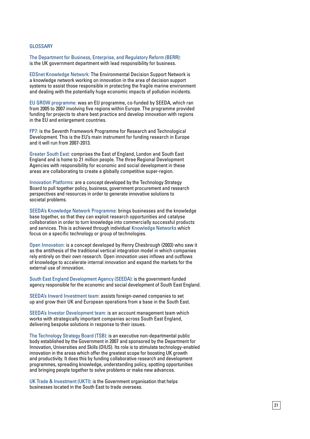#### GLOSSARY

The Department for Business, Enterprise, and Regulatory Reform (BERR): is the UK government department with lead responsibility for business.

EDSnet Knowledge Network: The Environmental Decision Support Network is a knowledge network working on innovation in the area of decision support systems to assist those responsible in protecting the fragile marine environment and dealing with the potentially huge economic impacts of pollution incidents.

EU GROW programme: was an EU programme, co-funded by SEEDA, which ran from 2005 to 2007 involving five regions within Europe. The programme provided funding for projects to share best practice and develop innovation with regions in the EU and enlargement countries.

FP7: is the Seventh Framework Programme for Research and Technological Development. This is the EU's main instrument for funding research in Europe and it will run from 2007-2013.

Greater South East: comprises the East of England, London and South East England and is home to 21 million people. The three Regional Development Agencies with responsibility for economic and social development in these areas are collaborating to create a globally competitive super-region.

Innovation Platforms: are a concept developed by the Technology Strategy Board to pull together policy, business, government procurement and research perspectives and resources in order to generate innovative solutions to societal problems.

SEEDA's Knowledge Network Programme: brings businesses and the knowledge base together, so that they can exploit research opportunities and catalyse collaboration in order to turn knowledge into commercially successful products and services. This is achieved through individual Knowledge Networks which focus on a specific technology or group of technologies.

Open Innovation: is a concept developed by Henry Chesbrough (2003) who saw it as the antithesis of the traditional vertical integration model in which companies rely entirely on their own research. Open innovation uses inflows and outflows of knowledge to accelerate internal innovation and expand the markets for the external use of innovation.

South East England Development Agency (SEEDA): is the government-funded agency responsible for the economic and social development of South East England.

SEEDA's Inward Investment team: assists foreign-owned companies to set up and grow their UK and European operations from a base in the South East.

SEEDA's Investor Development team: is an account management team which works with strategically important companies across South East England, delivering bespoke solutions in response to their issues.

The Technology Strategy Board (TSB): is an executive non-departmental public body established by the Government in 2007 and sponsored by the Department for Innovation, Universities and Skills (DIUS). Its role is to stimulate technology-enabled innovation in the areas which offer the greatest scope for boosting UK growth and productivity. It does this by funding collaborative research and development programmes, spreading knowledge, understanding policy, spotting opportunities and bringing people together to solve problems or make new advances.

UK Trade & Investment (UKTI): is the Government organisation that helps businesses located in the South East to trade overseas.